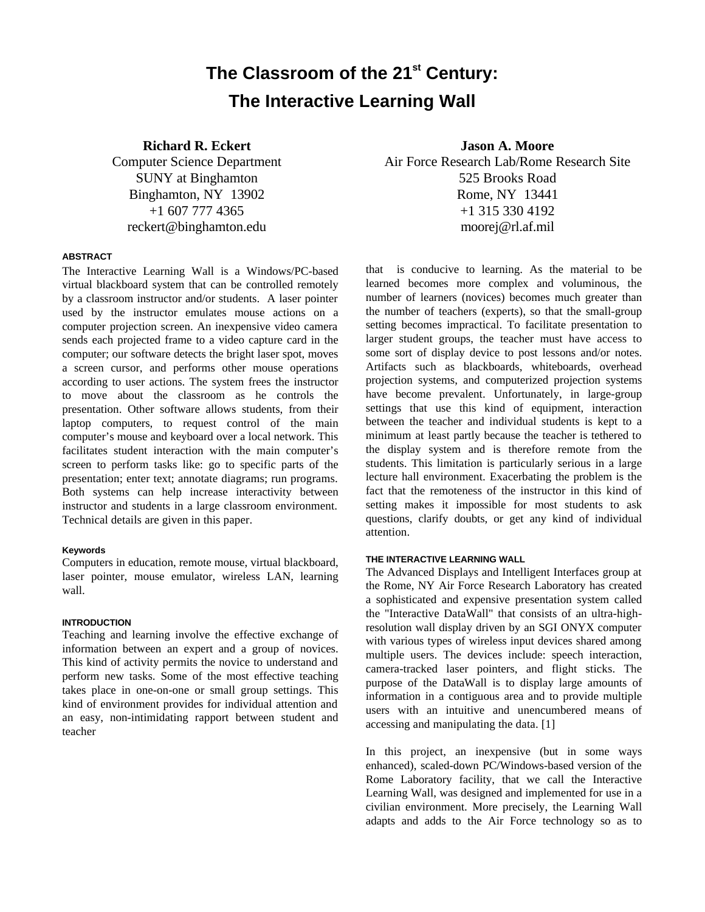# **The Classroom of the 21st Century: The Interactive Learning Wall**

**Richard R. Eckert**

Computer Science Department SUNY at Binghamton Binghamton, NY 13902 +1 607 777 4365 reckert@binghamton.edu

## **ABSTRACT**

The Interactive Learning Wall is a Windows/PC-based virtual blackboard system that can be controlled remotely by a classroom instructor and/or students. A laser pointer used by the instructor emulates mouse actions on a computer projection screen. An inexpensive video camera sends each projected frame to a video capture card in the computer; our software detects the bright laser spot, moves a screen cursor, and performs other mouse operations according to user actions. The system frees the instructor to move about the classroom as he controls the presentation. Other software allows students, from their laptop computers, to request control of the main computer's mouse and keyboard over a local network. This facilitates student interaction with the main computer's screen to perform tasks like: go to specific parts of the presentation; enter text; annotate diagrams; run programs. Both systems can help increase interactivity between instructor and students in a large classroom environment. Technical details are given in this paper.

# **Keywords**

Computers in education, remote mouse, virtual blackboard, laser pointer, mouse emulator, wireless LAN, learning wall.

# **INTRODUCTION**

Teaching and learning involve the effective exchange of information between an expert and a group of novices. This kind of activity permits the novice to understand and perform new tasks. Some of the most effective teaching takes place in one-on-one or small group settings. This kind of environment provides for individual attention and an easy, non-intimidating rapport between student and teacher

**Jason A. Moore** Air Force Research Lab/Rome Research Site 525 Brooks Road Rome, NY 13441 +1 315 330 4192 moorej@rl.af.mil

that is conducive to learning. As the material to be learned becomes more complex and voluminous, the number of learners (novices) becomes much greater than the number of teachers (experts), so that the small-group setting becomes impractical. To facilitate presentation to larger student groups, the teacher must have access to some sort of display device to post lessons and/or notes. Artifacts such as blackboards, whiteboards, overhead projection systems, and computerized projection systems have become prevalent. Unfortunately, in large-group settings that use this kind of equipment, interaction between the teacher and individual students is kept to a minimum at least partly because the teacher is tethered to the display system and is therefore remote from the students. This limitation is particularly serious in a large lecture hall environment. Exacerbating the problem is the fact that the remoteness of the instructor in this kind of setting makes it impossible for most students to ask questions, clarify doubts, or get any kind of individual attention.

## **THE INTERACTIVE LEARNING WALL**

The Advanced Displays and Intelligent Interfaces group at the Rome, NY Air Force Research Laboratory has created a sophisticated and expensive presentation system called the "Interactive DataWall" that consists of an ultra-highresolution wall display driven by an SGI ONYX computer with various types of wireless input devices shared among multiple users. The devices include: speech interaction, camera-tracked laser pointers, and flight sticks. The purpose of the DataWall is to display large amounts of information in a contiguous area and to provide multiple users with an intuitive and unencumbered means of accessing and manipulating the data. [1]

In this project, an inexpensive (but in some ways enhanced), scaled-down PC/Windows-based version of the Rome Laboratory facility, that we call the Interactive Learning Wall, was designed and implemented for use in a civilian environment. More precisely, the Learning Wall adapts and adds to the Air Force technology so as to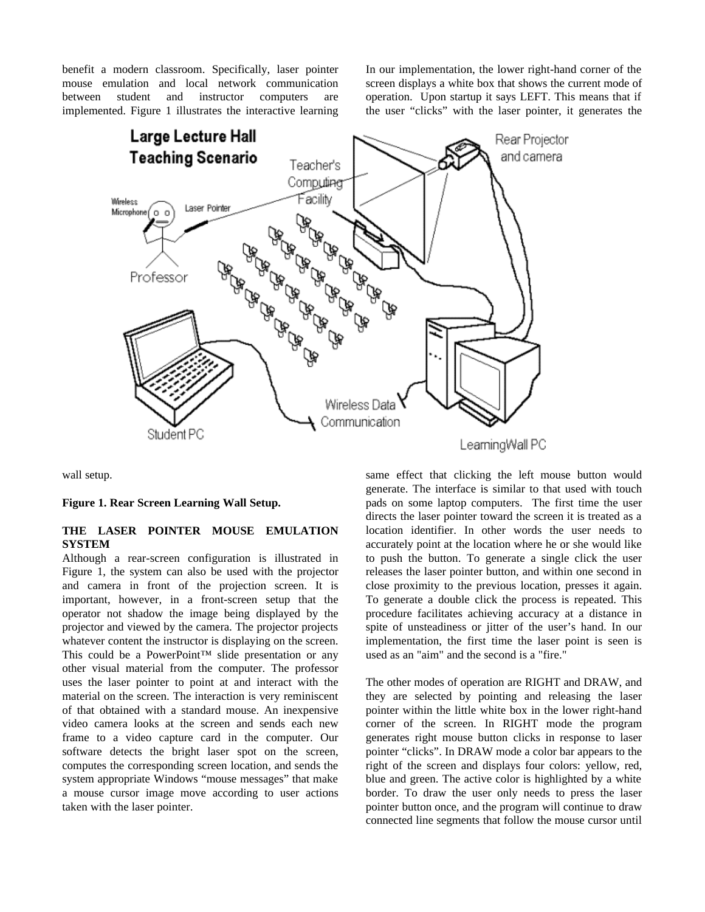benefit a modern classroom. Specifically, laser pointer mouse emulation and local network communication between student and instructor computers are implemented. Figure 1 illustrates the interactive learning In our implementation, the lower right-hand corner of the screen displays a white box that shows the current mode of operation. Upon startup it says LEFT. This means that if the user "clicks" with the laser pointer, it generates the



wall setup.

**Figure 1. Rear Screen Learning Wall Setup.**

# **THE LASER POINTER MOUSE EMULATION SYSTEM**

Although a rear-screen configuration is illustrated in Figure 1, the system can also be used with the projector and camera in front of the projection screen. It is important, however, in a front-screen setup that the operator not shadow the image being displayed by the projector and viewed by the camera. The projector projects whatever content the instructor is displaying on the screen. This could be a PowerPoint™ slide presentation or any other visual material from the computer. The professor uses the laser pointer to point at and interact with the material on the screen. The interaction is very reminiscent of that obtained with a standard mouse. An inexpensive video camera looks at the screen and sends each new frame to a video capture card in the computer. Our software detects the bright laser spot on the screen, computes the corresponding screen location, and sends the system appropriate Windows "mouse messages" that make a mouse cursor image move according to user actions taken with the laser pointer.

same effect that clicking the left mouse button would generate. The interface is similar to that used with touch pads on some laptop computers. The first time the user directs the laser pointer toward the screen it is treated as a location identifier. In other words the user needs to accurately point at the location where he or she would like to push the button. To generate a single click the user releases the laser pointer button, and within one second in close proximity to the previous location, presses it again. To generate a double click the process is repeated. This procedure facilitates achieving accuracy at a distance in spite of unsteadiness or jitter of the user's hand. In our implementation, the first time the laser point is seen is used as an "aim" and the second is a "fire."

The other modes of operation are RIGHT and DRAW, and they are selected by pointing and releasing the laser pointer within the little white box in the lower right-hand corner of the screen. In RIGHT mode the program generates right mouse button clicks in response to laser pointer "clicks". In DRAW mode a color bar appears to the right of the screen and displays four colors: yellow, red, blue and green. The active color is highlighted by a white border. To draw the user only needs to press the laser pointer button once, and the program will continue to draw connected line segments that follow the mouse cursor until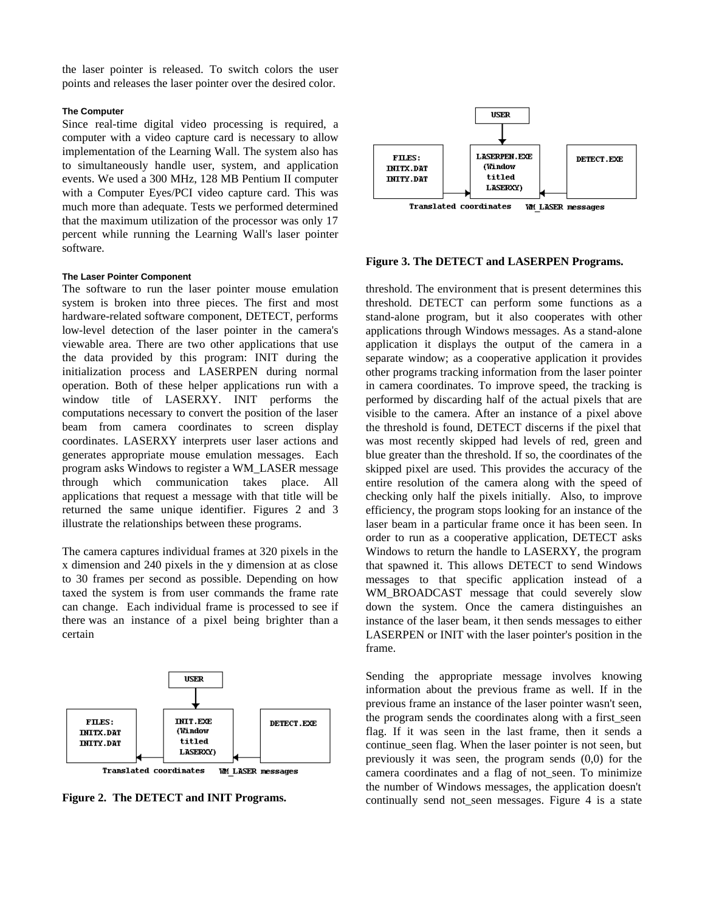the laser pointer is released. To switch colors the user points and releases the laser pointer over the desired color.

## **The Computer**

Since real-time digital video processing is required, a computer with a video capture card is necessary to allow implementation of the Learning Wall. The system also has to simultaneously handle user, system, and application events. We used a 300 MHz, 128 MB Pentium II computer with a Computer Eyes/PCI video capture card. This was much more than adequate. Tests we performed determined that the maximum utilization of the processor was only 17 percent while running the Learning Wall's laser pointer software.

#### **The Laser Pointer Component**

The software to run the laser pointer mouse emulation system is broken into three pieces. The first and most hardware-related software component, DETECT, performs low-level detection of the laser pointer in the camera's viewable area. There are two other applications that use the data provided by this program: INIT during the initialization process and LASERPEN during normal operation. Both of these helper applications run with a window title of LASERXY. INIT performs the computations necessary to convert the position of the laser beam from camera coordinates to screen display coordinates. LASERXY interprets user laser actions and generates appropriate mouse emulation messages. Each program asks Windows to register a WM\_LASER message through which communication takes place. All applications that request a message with that title will be returned the same unique identifier. Figures 2 and 3 illustrate the relationships between these programs.

The camera captures individual frames at 320 pixels in the x dimension and 240 pixels in the y dimension at as close to 30 frames per second as possible. Depending on how taxed the system is from user commands the frame rate can change. Each individual frame is processed to see if there was an instance of a pixel being brighter than a certain



**Figure 2. The DETECT and INIT Programs.**



## **Figure 3. The DETECT and LASERPEN Programs.**

threshold. The environment that is present determines this threshold. DETECT can perform some functions as a stand-alone program, but it also cooperates with other applications through Windows messages. As a stand-alone application it displays the output of the camera in a separate window; as a cooperative application it provides other programs tracking information from the laser pointer in camera coordinates. To improve speed, the tracking is performed by discarding half of the actual pixels that are visible to the camera. After an instance of a pixel above the threshold is found, DETECT discerns if the pixel that was most recently skipped had levels of red, green and blue greater than the threshold. If so, the coordinates of the skipped pixel are used. This provides the accuracy of the entire resolution of the camera along with the speed of checking only half the pixels initially. Also, to improve efficiency, the program stops looking for an instance of the laser beam in a particular frame once it has been seen. In order to run as a cooperative application, DETECT asks Windows to return the handle to LASERXY, the program that spawned it. This allows DETECT to send Windows messages to that specific application instead of a WM\_BROADCAST\_message\_that\_could\_severely\_slow down the system. Once the camera distinguishes an instance of the laser beam, it then sends messages to either LASERPEN or INIT with the laser pointer's position in the frame.

Sending the appropriate message involves knowing information about the previous frame as well. If in the previous frame an instance of the laser pointer wasn't seen, the program sends the coordinates along with a first\_seen flag. If it was seen in the last frame, then it sends a continue seen flag. When the laser pointer is not seen, but previously it was seen, the program sends (0,0) for the camera coordinates and a flag of not\_seen. To minimize the number of Windows messages, the application doesn't continually send not seen messages. Figure 4 is a state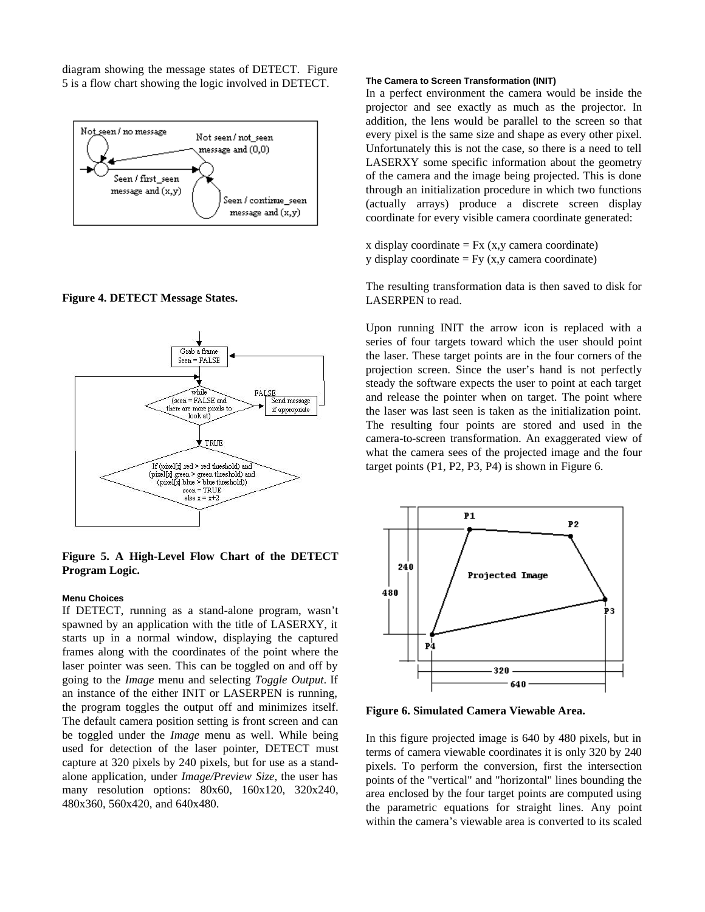diagram showing the message states of DETECT. Figure 5 is a flow chart showing the logic involved in DETECT.



**Figure 4. DETECT Message States.**



# **Figure 5. A High-Level Flow Chart of the DETECT Program Logic.**

## **Menu Choices**

If DETECT, running as a stand-alone program, wasn't spawned by an application with the title of LASERXY, it starts up in a normal window, displaying the captured frames along with the coordinates of the point where the laser pointer was seen. This can be toggled on and off by going to the *Image* menu and selecting *Toggle Output*. If an instance of the either INIT or LASERPEN is running, the program toggles the output off and minimizes itself. The default camera position setting is front screen and can be toggled under the *Image* menu as well. While being used for detection of the laser pointer, DETECT must capture at 320 pixels by 240 pixels, but for use as a standalone application, under *Image/Preview Size,* the user has many resolution options: 80x60, 160x120, 320x240, 480x360, 560x420, and 640x480.

#### **The Camera to Screen Transformation (INIT)**

In a perfect environment the camera would be inside the projector and see exactly as much as the projector. In addition, the lens would be parallel to the screen so that every pixel is the same size and shape as every other pixel. Unfortunately this is not the case, so there is a need to tell LASERXY some specific information about the geometry of the camera and the image being projected. This is done through an initialization procedure in which two functions (actually arrays) produce a discrete screen display coordinate for every visible camera coordinate generated:

x display coordinate  $=$  Fx (x,y camera coordinate) y display coordinate  $=$  Fy (x,y camera coordinate)

The resulting transformation data is then saved to disk for LASERPEN to read.

Upon running INIT the arrow icon is replaced with a series of four targets toward which the user should point the laser. These target points are in the four corners of the projection screen. Since the user's hand is not perfectly steady the software expects the user to point at each target and release the pointer when on target. The point where the laser was last seen is taken as the initialization point. The resulting four points are stored and used in the camera-to-screen transformation. An exaggerated view of what the camera sees of the projected image and the four target points (P1, P2, P3, P4) is shown in Figure 6.



**Figure 6. Simulated Camera Viewable Area.**

In this figure projected image is 640 by 480 pixels, but in terms of camera viewable coordinates it is only 320 by 240 pixels. To perform the conversion, first the intersection points of the "vertical" and "horizontal" lines bounding the area enclosed by the four target points are computed using the parametric equations for straight lines. Any point within the camera's viewable area is converted to its scaled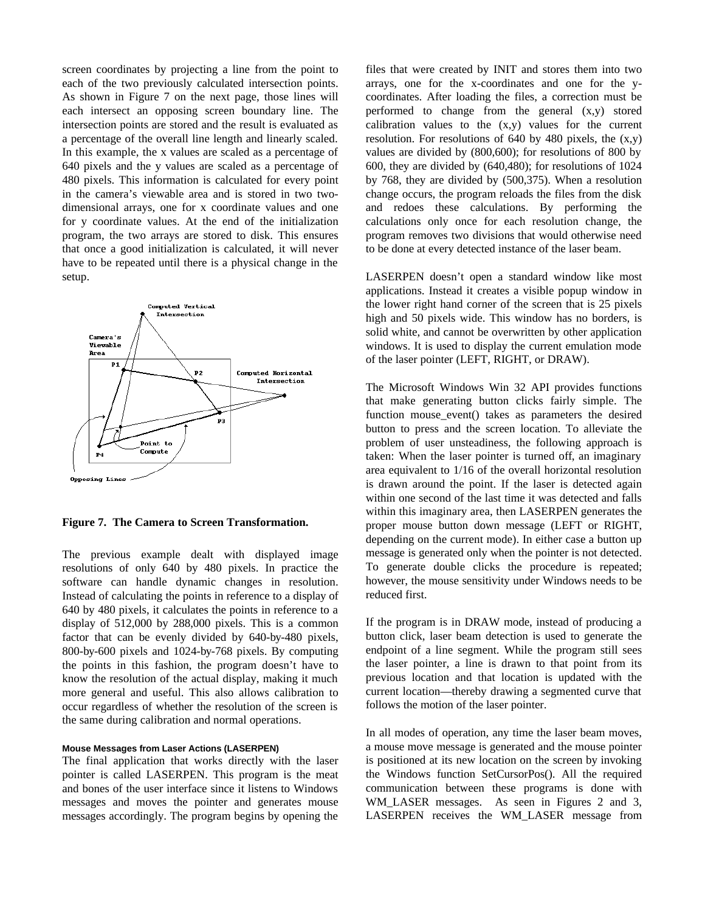screen coordinates by projecting a line from the point to each of the two previously calculated intersection points. As shown in Figure 7 on the next page, those lines will each intersect an opposing screen boundary line. The intersection points are stored and the result is evaluated as a percentage of the overall line length and linearly scaled. In this example, the x values are scaled as a percentage of 640 pixels and the y values are scaled as a percentage of 480 pixels. This information is calculated for every point in the camera's viewable area and is stored in two twodimensional arrays, one for x coordinate values and one for y coordinate values. At the end of the initialization program, the two arrays are stored to disk. This ensures that once a good initialization is calculated, it will never have to be repeated until there is a physical change in the setup.



**Figure 7. The Camera to Screen Transformation.**

The previous example dealt with displayed image resolutions of only 640 by 480 pixels. In practice the software can handle dynamic changes in resolution. Instead of calculating the points in reference to a display of 640 by 480 pixels, it calculates the points in reference to a display of 512,000 by 288,000 pixels. This is a common factor that can be evenly divided by 640-by-480 pixels, 800-by-600 pixels and 1024-by-768 pixels. By computing the points in this fashion, the program doesn't have to know the resolution of the actual display, making it much more general and useful. This also allows calibration to occur regardless of whether the resolution of the screen is the same during calibration and normal operations.

## **Mouse Messages from Laser Actions (LASERPEN)**

The final application that works directly with the laser pointer is called LASERPEN. This program is the meat and bones of the user interface since it listens to Windows messages and moves the pointer and generates mouse messages accordingly. The program begins by opening the

files that were created by INIT and stores them into two arrays, one for the x-coordinates and one for the ycoordinates. After loading the files, a correction must be performed to change from the general (x,y) stored calibration values to the (x,y) values for the current resolution. For resolutions of 640 by 480 pixels, the (x,y) values are divided by (800,600); for resolutions of 800 by 600, they are divided by (640,480); for resolutions of 1024 by 768, they are divided by (500,375). When a resolution change occurs, the program reloads the files from the disk and redoes these calculations. By performing the calculations only once for each resolution change, the program removes two divisions that would otherwise need to be done at every detected instance of the laser beam.

LASERPEN doesn't open a standard window like most applications. Instead it creates a visible popup window in the lower right hand corner of the screen that is 25 pixels high and 50 pixels wide. This window has no borders, is solid white, and cannot be overwritten by other application windows. It is used to display the current emulation mode of the laser pointer (LEFT, RIGHT, or DRAW).

The Microsoft Windows Win 32 API provides functions that make generating button clicks fairly simple. The function mouse event() takes as parameters the desired button to press and the screen location. To alleviate the problem of user unsteadiness, the following approach is taken: When the laser pointer is turned off, an imaginary area equivalent to 1/16 of the overall horizontal resolution is drawn around the point. If the laser is detected again within one second of the last time it was detected and falls within this imaginary area, then LASERPEN generates the proper mouse button down message (LEFT or RIGHT, depending on the current mode). In either case a button up message is generated only when the pointer is not detected. To generate double clicks the procedure is repeated; however, the mouse sensitivity under Windows needs to be reduced first.

If the program is in DRAW mode, instead of producing a button click, laser beam detection is used to generate the endpoint of a line segment. While the program still sees the laser pointer, a line is drawn to that point from its previous location and that location is updated with the current location—thereby drawing a segmented curve that follows the motion of the laser pointer.

In all modes of operation, any time the laser beam moves, a mouse move message is generated and the mouse pointer is positioned at its new location on the screen by invoking the Windows function SetCursorPos(). All the required communication between these programs is done with WM LASER messages. As seen in Figures 2 and 3, LASERPEN receives the WM\_LASER message from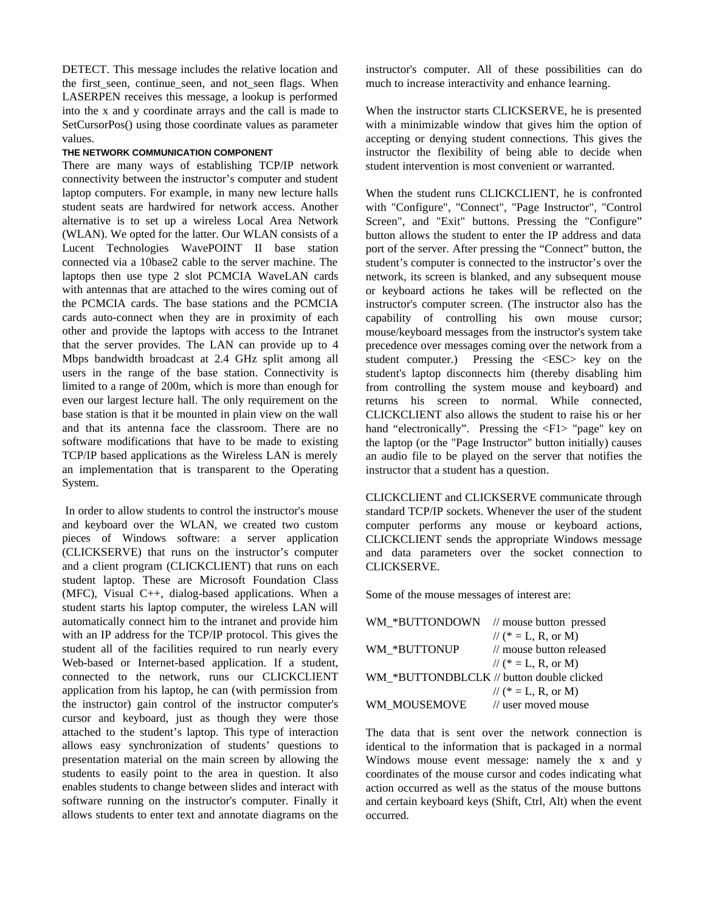DETECT. This message includes the relative location and the first seen, continue seen, and not seen flags. When LASERPEN receives this message, a lookup is performed into the x and y coordinate arrays and the call is made to SetCursorPos() using those coordinate values as parameter values.

# **THE NETWORK COMMUNICATION COMPONENT**

There are many ways of establishing TCP/IP network connectivity between the instructor's computer and student laptop computers. For example, in many new lecture halls student seats are hardwired for network access. Another alternative is to set up a wireless Local Area Network (WLAN). We opted for the latter. Our WLAN consists of a Lucent Technologies WavePOINT II base station connected via a 10base2 cable to the server machine. The laptops then use type 2 slot PCMCIA WaveLAN cards with antennas that are attached to the wires coming out of the PCMCIA cards. The base stations and the PCMCIA cards auto-connect when they are in proximity of each other and provide the laptops with access to the Intranet that the server provides. The LAN can provide up to 4 Mbps bandwidth broadcast at 2.4 GHz split among all users in the range of the base station. Connectivity is limited to a range of 200m, which is more than enough for even our largest lecture hall. The only requirement on the base station is that it be mounted in plain view on the wall and that its antenna face the classroom. There are no software modifications that have to be made to existing TCP/IP based applications as the Wireless LAN is merely an implementation that is transparent to the Operating System.

 In order to allow students to control the instructor's mouse and keyboard over the WLAN, we created two custom pieces of Windows software: a server application (CLICKSERVE) that runs on the instructor's computer and a client program (CLICKCLIENT) that runs on each student laptop. These are Microsoft Foundation Class (MFC), Visual C++, dialog-based applications. When a student starts his laptop computer, the wireless LAN will automatically connect him to the intranet and provide him with an IP address for the TCP/IP protocol. This gives the student all of the facilities required to run nearly every Web-based or Internet-based application. If a student, connected to the network, runs our CLICKCLIENT application from his laptop, he can (with permission from the instructor) gain control of the instructor computer's cursor and keyboard, just as though they were those attached to the student's laptop. This type of interaction allows easy synchronization of students' questions to presentation material on the main screen by allowing the students to easily point to the area in question. It also enables students to change between slides and interact with software running on the instructor's computer. Finally it allows students to enter text and annotate diagrams on the

instructor's computer. All of these possibilities can do much to increase interactivity and enhance learning.

When the instructor starts CLICKSERVE, he is presented with a minimizable window that gives him the option of accepting or denying student connections. This gives the instructor the flexibility of being able to decide when student intervention is most convenient or warranted.

When the student runs CLICKCLIENT, he is confronted with "Configure", "Connect", "Page Instructor", "Control Screen", and "Exit" buttons. Pressing the "Configure" button allows the student to enter the IP address and data port of the server. After pressing the "Connect" button, the student's computer is connected to the instructor's over the network, its screen is blanked, and any subsequent mouse or keyboard actions he takes will be reflected on the instructor's computer screen. (The instructor also has the capability of controlling his own mouse cursor; mouse/keyboard messages from the instructor's system take precedence over messages coming over the network from a student computer.) Pressing the <ESC> key on the student's laptop disconnects him (thereby disabling him from controlling the system mouse and keyboard) and returns his screen to normal. While connected, CLICKCLIENT also allows the student to raise his or her hand "electronically". Pressing the  $\langle F1 \rangle$ "page" key on the laptop (or the "Page Instructor" button initially) causes an audio file to be played on the server that notifies the instructor that a student has a question.

CLICKCLIENT and CLICKSERVE communicate through standard TCP/IP sockets. Whenever the user of the student computer performs any mouse or keyboard actions, CLICKCLIENT sends the appropriate Windows message and data parameters over the socket connection to CLICKSERVE.

Some of the mouse messages of interest are:

| WM *BUTTONDOWN // mouse button pressed    |                          |
|-------------------------------------------|--------------------------|
|                                           | // (* = L, R, or M)      |
| WM *BUTTONUP                              | // mouse button released |
|                                           | // (* = L, R, or M)      |
| WM *BUTTONDBLCLK // button double clicked |                          |
|                                           | // (* = L, R, or M)      |
| WM MOUSEMOVE                              | // user moved mouse      |

The data that is sent over the network connection is identical to the information that is packaged in a normal Windows mouse event message: namely the x and y coordinates of the mouse cursor and codes indicating what action occurred as well as the status of the mouse buttons and certain keyboard keys (Shift, Ctrl, Alt) when the event occurred.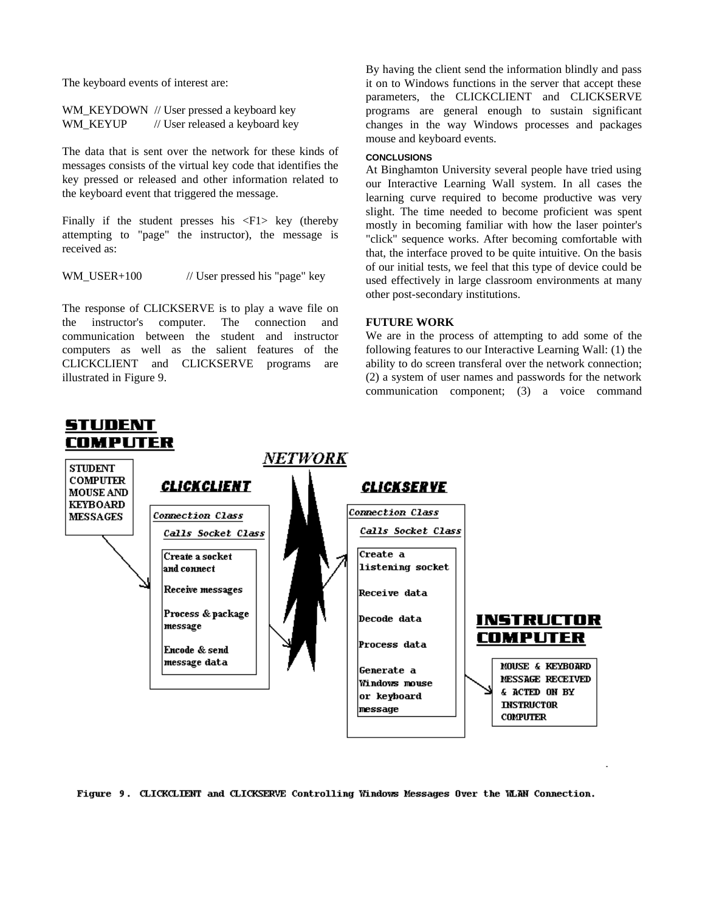The keyboard events of interest are:

WM\_KEYDOWN // User pressed a keyboard key WM\_KEYUP // User released a keyboard key

The data that is sent over the network for these kinds of messages consists of the virtual key code that identifies the key pressed or released and other information related to the keyboard event that triggered the message.

Finally if the student presses his  $\langle F1 \rangle$  key (thereby attempting to "page" the instructor), the message is received as:

WM\_USER+100  $\frac{1}{\sqrt{2}}$  User pressed his "page" key

The response of CLICKSERVE is to play a wave file on the instructor's computer. The connection and communication between the student and instructor computers as well as the salient features of the CLICKCLIENT and CLICKSERVE programs are illustrated in Figure 9.

By having the client send the information blindly and pass it on to Windows functions in the server that accept these parameters, the CLICKCLIENT and CLICKSERVE programs are general enough to sustain significant changes in the way Windows processes and packages mouse and keyboard events.

## **CONCLUSIONS**

At Binghamton University several people have tried using our Interactive Learning Wall system. In all cases the learning curve required to become productive was very slight. The time needed to become proficient was spent mostly in becoming familiar with how the laser pointer's "click" sequence works. After becoming comfortable with that, the interface proved to be quite intuitive. On the basis of our initial tests, we feel that this type of device could be used effectively in large classroom environments at many other post-secondary institutions.

# **FUTURE WORK**

We are in the process of attempting to add some of the following features to our Interactive Learning Wall: (1) the ability to do screen transferal over the network connection; (2) a system of user names and passwords for the network communication component; (3) a voice command